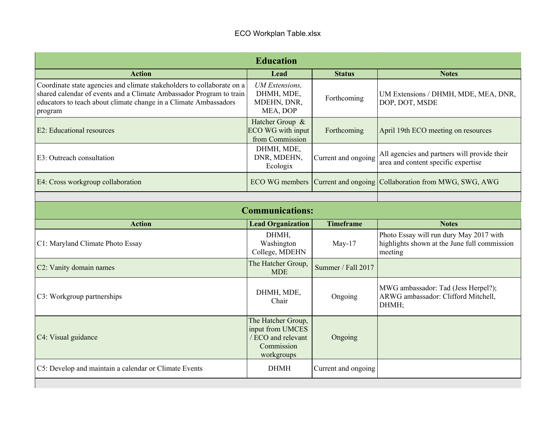| <b>Education</b>                                                                                                                                                                                                             |                                                                                          |                     |                                                                                                    |  |  |
|------------------------------------------------------------------------------------------------------------------------------------------------------------------------------------------------------------------------------|------------------------------------------------------------------------------------------|---------------------|----------------------------------------------------------------------------------------------------|--|--|
| <b>Action</b>                                                                                                                                                                                                                | Lead                                                                                     | <b>Status</b>       | <b>Notes</b>                                                                                       |  |  |
| Coordinate state agencies and climate stakeholders to collaborate on a<br>shared calendar of events and a Climate Ambassador Program to train<br>educators to teach about climate change in a Climate Ambassadors<br>program | <b>UM</b> Extensions,<br>DHMH, MDE,<br>MDEHN, DNR,<br>MEA, DOP                           | Forthcoming         | UM Extensions / DHMH, MDE, MEA, DNR,<br>DOP, DOT, MSDE                                             |  |  |
| <b>E2</b> : Educational resources                                                                                                                                                                                            | Hatcher Group &<br>ECO WG with input<br>from Commission                                  | Forthcoming         | April 19th ECO meeting on resources                                                                |  |  |
| E3: Outreach consultation                                                                                                                                                                                                    | DHMH, MDE,<br>DNR, MDEHN,<br>Ecologix                                                    | Current and ongoing | All agencies and partners will provide their<br>area and content specific expertise                |  |  |
| E4: Cross workgroup collaboration                                                                                                                                                                                            | ECO WG members                                                                           |                     | Current and ongoing Collaboration from MWG, SWG, AWG                                               |  |  |
|                                                                                                                                                                                                                              |                                                                                          |                     |                                                                                                    |  |  |
| <b>Communications:</b>                                                                                                                                                                                                       |                                                                                          |                     |                                                                                                    |  |  |
| <b>Action</b>                                                                                                                                                                                                                | <b>Lead Organization</b>                                                                 | <b>Timeframe</b>    | <b>Notes</b>                                                                                       |  |  |
| C1: Maryland Climate Photo Essay                                                                                                                                                                                             | DHMH,<br>Washington<br>College, MDEHN                                                    | $May-17$            | Photo Essay will run dury May 2017 with<br>highlights shown at the June full commission<br>meeting |  |  |
| C2: Vanity domain names                                                                                                                                                                                                      | The Hatcher Group.<br><b>MDE</b>                                                         | Summer / Fall 2017  |                                                                                                    |  |  |
| C3: Workgroup partnerships                                                                                                                                                                                                   | DHMH, MDE,<br>Chair                                                                      | Ongoing             | MWG ambassador: Tad (Jess Herpel?);<br>ARWG ambassador: Clifford Mitchell,<br>DHMH;                |  |  |
| C4: Visual guidance                                                                                                                                                                                                          | The Hatcher Group,<br>input from UMCES<br>/ ECO and relevant<br>Commission<br>workgroups | Ongoing             |                                                                                                    |  |  |
| C5: Develop and maintain a calendar or Climate Events                                                                                                                                                                        | <b>DHMH</b>                                                                              | Current and ongoing |                                                                                                    |  |  |